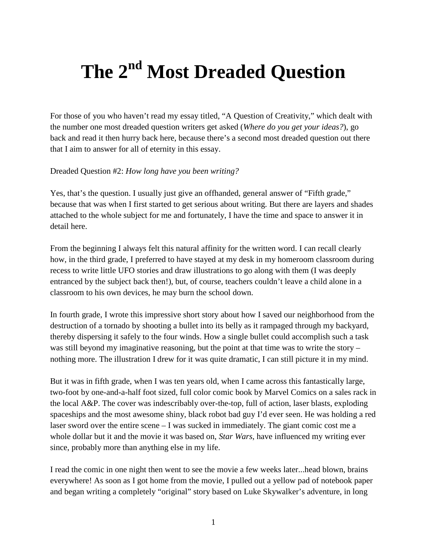## **The 2nd Most Dreaded Question**

For those of you who haven't read my essay titled, "A Question of Creativity," which dealt with the number one most dreaded question writers get asked (*Where do you get your ideas?*), go back and read it then hurry back here, because there's a second most dreaded question out there that I aim to answer for all of eternity in this essay.

Dreaded Question #2: *How long have you been writing?*

Yes, that's the question. I usually just give an offhanded, general answer of "Fifth grade," because that was when I first started to get serious about writing. But there are layers and shades attached to the whole subject for me and fortunately, I have the time and space to answer it in detail here.

From the beginning I always felt this natural affinity for the written word. I can recall clearly how, in the third grade, I preferred to have stayed at my desk in my homeroom classroom during recess to write little UFO stories and draw illustrations to go along with them (I was deeply entranced by the subject back then!), but, of course, teachers couldn't leave a child alone in a classroom to his own devices, he may burn the school down.

In fourth grade, I wrote this impressive short story about how I saved our neighborhood from the destruction of a tornado by shooting a bullet into its belly as it rampaged through my backyard, thereby dispersing it safely to the four winds. How a single bullet could accomplish such a task was still beyond my imaginative reasoning, but the point at that time was to write the story – nothing more. The illustration I drew for it was quite dramatic, I can still picture it in my mind.

But it was in fifth grade, when I was ten years old, when I came across this fantastically large, two-foot by one-and-a-half foot sized, full color comic book by Marvel Comics on a sales rack in the local A&P. The cover was indescribably over-the-top, full of action, laser blasts, exploding spaceships and the most awesome shiny, black robot bad guy I'd ever seen. He was holding a red laser sword over the entire scene – I was sucked in immediately. The giant comic cost me a whole dollar but it and the movie it was based on, *Star Wars*, have influenced my writing ever since, probably more than anything else in my life.

I read the comic in one night then went to see the movie a few weeks later...head blown, brains everywhere! As soon as I got home from the movie, I pulled out a yellow pad of notebook paper and began writing a completely "original" story based on Luke Skywalker's adventure, in long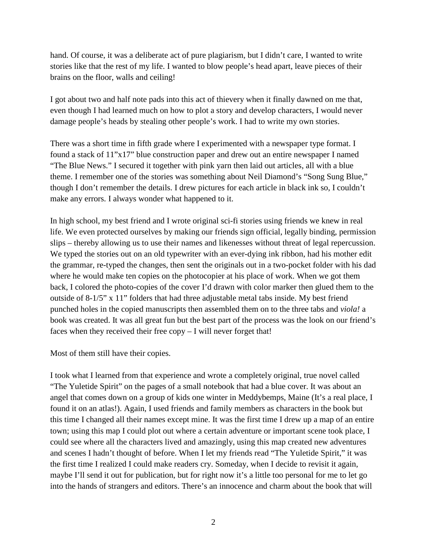hand. Of course, it was a deliberate act of pure plagiarism, but I didn't care, I wanted to write stories like that the rest of my life. I wanted to blow people's head apart, leave pieces of their brains on the floor, walls and ceiling!

I got about two and half note pads into this act of thievery when it finally dawned on me that, even though I had learned much on how to plot a story and develop characters, I would never damage people's heads by stealing other people's work. I had to write my own stories.

There was a short time in fifth grade where I experimented with a newspaper type format. I found a stack of 11"x17" blue construction paper and drew out an entire newspaper I named "The Blue News." I secured it together with pink yarn then laid out articles, all with a blue theme. I remember one of the stories was something about Neil Diamond's "Song Sung Blue," though I don't remember the details. I drew pictures for each article in black ink so, I couldn't make any errors. I always wonder what happened to it.

In high school, my best friend and I wrote original sci-fi stories using friends we knew in real life. We even protected ourselves by making our friends sign official, legally binding, permission slips – thereby allowing us to use their names and likenesses without threat of legal repercussion. We typed the stories out on an old typewriter with an ever-dying ink ribbon, had his mother edit the grammar, re-typed the changes, then sent the originals out in a two-pocket folder with his dad where he would make ten copies on the photocopier at his place of work. When we got them back, I colored the photo-copies of the cover I'd drawn with color marker then glued them to the outside of 8-1/5" x 11" folders that had three adjustable metal tabs inside. My best friend punched holes in the copied manuscripts then assembled them on to the three tabs and *viola!* a book was created. It was all great fun but the best part of the process was the look on our friend's faces when they received their free copy – I will never forget that!

Most of them still have their copies.

I took what I learned from that experience and wrote a completely original, true novel called "The Yuletide Spirit" on the pages of a small notebook that had a blue cover. It was about an angel that comes down on a group of kids one winter in Meddybemps, Maine (It's a real place, I found it on an atlas!). Again, I used friends and family members as characters in the book but this time I changed all their names except mine. It was the first time I drew up a map of an entire town; using this map I could plot out where a certain adventure or important scene took place, I could see where all the characters lived and amazingly, using this map created new adventures and scenes I hadn't thought of before. When I let my friends read "The Yuletide Spirit," it was the first time I realized I could make readers cry. Someday, when I decide to revisit it again, maybe I'll send it out for publication, but for right now it's a little too personal for me to let go into the hands of strangers and editors. There's an innocence and charm about the book that will